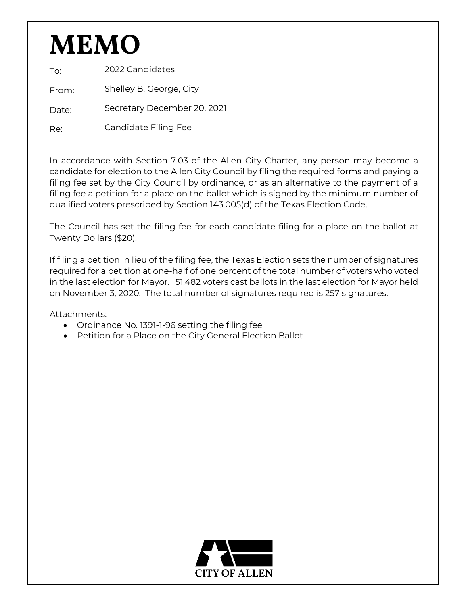# **MEMO**

To: 2022 Candidates

From: Shelley B. George, City

Date: Secretary December 20, 2021

Re: Candidate Filing Fee

In accordance with Section 7.03 of the Allen City Charter, any person may become a candidate for election to the Allen City Council by filing the required forms and paying a filing fee set by the City Council by ordinance, or as an alternative to the payment of a filing fee a petition for a place on the ballot which is signed by the minimum number of qualified voters prescribed by Section 143.005(d) of the Texas Election Code.

The Council has set the filing fee for each candidate filing for a place on the ballot at Twenty Dollars (\$20).

If filing a petition in lieu of the filing fee, the Texas Election sets the number of signatures required for a petition at one-half of one percent of the total number of voters who voted in the last election for Mayor. 51,482 voters cast ballots in the last election for Mayor held on November 3, 2020. The total number of signatures required is 257 signatures.

Attachments:

- Ordinance No. 1391-1-96 setting the filing fee
- Petition for a Place on the City General Election Ballot

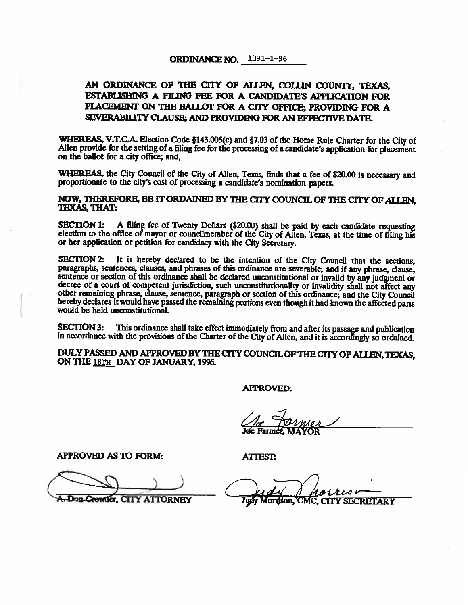#### **ORDINANCE NO.** 1391-1-96

# AN ORDINANCE OF THE CITY OF ALLEN, COLLIN COUNTY, TEXAS, ESTABLISHING A FILING FEE FOR A CANDIDATE'S APPLICATION FOR PLACEMENT ON THE BALLOT FOR A CITY OFFICE: PROVIDING FOR A SEVERABILITY CLAUSE; AND PROVIDING FOR AN EFFECTIVE DATE.

WHEREAS, V.T.C.A. Election Code §143.005(c) and §7.03 of the Home Rule Charter for the City of Allen provide for the setting of a filing fee for the processing of a candidate's application for placement on the ballot for a city office; and,

WHEREAS, the City Council of the City of Allen, Texas, finds that a fee of \$20.00 is necessary and proportionate to the city's cost of processing a candidate's nomination papers.

NOW, THEREFORE, BE IT ORDAINED BY THE CITY COUNCIL OF THE CITY OF ALLEN. **TEXAS, THAT:** 

A filing fee of Twenty Dollars (\$20.00) shall be paid by each candidate requesting SECTION 1: election to the office of mayor or councilmember of the City of Allen. Texas, at the time of filing his or her application or petition for candidacy with the City Secretary.

It is hereby declared to be the intention of the City Council that the sections. SECTION 2: paragraphs, sentences, clauses, and phrases of this ordinance are severable; and if any phrase, clause, sentence or section of this ordinance shall be declared unconstitutional or invalid by any judgment or decree of a court of competent jurisdiction, such unconstitutionality or invalidity shall not affect any other remaining phrase, clause, sentence, paragraph or section of this ordinance; and the City Council hereby declares it would have passed the remaining portions even though it had known the affected parts would be held unconstitutional.

**SECTION 3:** This ordinance shall take effect immediately from and after its passage and publication in accordance with the provisions of the Charter of the City of Allen, and it is accordingly so ordained.

DULY PASSED AND APPROVED BY THE CITY COUNCIL OF THE CITY OF ALLEN, TEXAS, ON THE 18TH DAY OF JANUARY, 1996.

**APPROVED:** 

**APPROVED AS TO FORM:** 

**ATTEST:** 

Mortison,

D<sub>7</sub>B Crowder, CITY ATTORNEY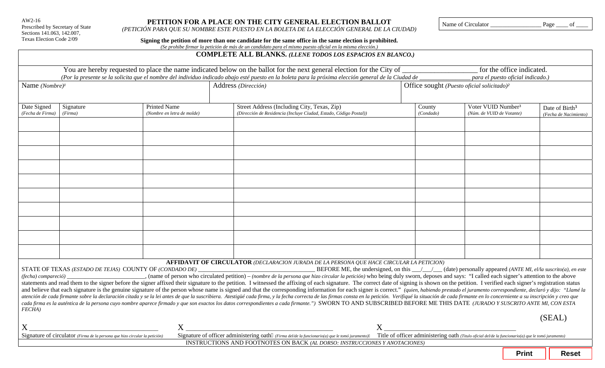AW2-16 Prescribed by Secretary of State Sections 141.063, 142.007, Texas Election Code 2/09

# **PETITION FOR A PLACE ON THE CITY GENERAL ELECTION BALLOT**

*(PETICIÓN PARA QUE SU NOMBRE ESTE PUESTO EN LA BOLETA DE LA ELECCIÓN GENERAL DE LA CIUDAD)* 

Name of Circulator \_\_\_\_\_\_\_\_\_\_\_\_\_\_\_\_\_ Page \_\_\_\_ of \_\_\_\_

|  |  | Signing the petition of more than one candidate for the same office in the same election is prohibited. |
|--|--|---------------------------------------------------------------------------------------------------------|
|  |  |                                                                                                         |

*(Se prohibe firmar la petición de más de un candidato para el mismo puesto oficial en la misma elección.)* 

# **COMPLETE ALL BLANKS.** *(LLENE TODOS LOS ESPACIOS EN BLANCO.)*

|                                 |                                                                                                            |                                                   |  | You are hereby requested to place the name indicated below on the ballot for the next general election for the City of                                                                                                                                                                                                                                                                                                                                                                                                                                                                                                                                                                                                                                                                                                                                                                                                                                                                                                                                                                                                                                                                                                                                                                                                                        |                     |                                                             | for the office indicated.         |                                                     |
|---------------------------------|------------------------------------------------------------------------------------------------------------|---------------------------------------------------|--|-----------------------------------------------------------------------------------------------------------------------------------------------------------------------------------------------------------------------------------------------------------------------------------------------------------------------------------------------------------------------------------------------------------------------------------------------------------------------------------------------------------------------------------------------------------------------------------------------------------------------------------------------------------------------------------------------------------------------------------------------------------------------------------------------------------------------------------------------------------------------------------------------------------------------------------------------------------------------------------------------------------------------------------------------------------------------------------------------------------------------------------------------------------------------------------------------------------------------------------------------------------------------------------------------------------------------------------------------|---------------------|-------------------------------------------------------------|-----------------------------------|-----------------------------------------------------|
|                                 |                                                                                                            |                                                   |  |                                                                                                                                                                                                                                                                                                                                                                                                                                                                                                                                                                                                                                                                                                                                                                                                                                                                                                                                                                                                                                                                                                                                                                                                                                                                                                                                               |                     |                                                             | para el puesto oficial indicado.) |                                                     |
| Name $(Nombre)^{I}$             |                                                                                                            | Address (Dirección)                               |  | Office sought (Puesto oficial solicitado) <sup>2</sup>                                                                                                                                                                                                                                                                                                                                                                                                                                                                                                                                                                                                                                                                                                                                                                                                                                                                                                                                                                                                                                                                                                                                                                                                                                                                                        |                     |                                                             |                                   |                                                     |
| Date Signed<br>(Fecha de Firma) | Signature<br>(Firma)                                                                                       | <b>Printed Name</b><br>(Nombre en letra de molde) |  | Street Address (Including City, Texas, Zip)<br>(Dirección de Residencia (Incluye Ciudad, Estado, Código Postal))                                                                                                                                                                                                                                                                                                                                                                                                                                                                                                                                                                                                                                                                                                                                                                                                                                                                                                                                                                                                                                                                                                                                                                                                                              | County<br>(Condado) | Voter VUID Number <sup>3</sup><br>(Núm. de VUID de Votante) |                                   | Date of Birth <sup>3</sup><br>(Fecha de Nacimiento) |
|                                 |                                                                                                            |                                                   |  |                                                                                                                                                                                                                                                                                                                                                                                                                                                                                                                                                                                                                                                                                                                                                                                                                                                                                                                                                                                                                                                                                                                                                                                                                                                                                                                                               |                     |                                                             |                                   |                                                     |
|                                 |                                                                                                            |                                                   |  |                                                                                                                                                                                                                                                                                                                                                                                                                                                                                                                                                                                                                                                                                                                                                                                                                                                                                                                                                                                                                                                                                                                                                                                                                                                                                                                                               |                     |                                                             |                                   |                                                     |
|                                 |                                                                                                            |                                                   |  |                                                                                                                                                                                                                                                                                                                                                                                                                                                                                                                                                                                                                                                                                                                                                                                                                                                                                                                                                                                                                                                                                                                                                                                                                                                                                                                                               |                     |                                                             |                                   |                                                     |
|                                 |                                                                                                            |                                                   |  |                                                                                                                                                                                                                                                                                                                                                                                                                                                                                                                                                                                                                                                                                                                                                                                                                                                                                                                                                                                                                                                                                                                                                                                                                                                                                                                                               |                     |                                                             |                                   |                                                     |
|                                 |                                                                                                            |                                                   |  |                                                                                                                                                                                                                                                                                                                                                                                                                                                                                                                                                                                                                                                                                                                                                                                                                                                                                                                                                                                                                                                                                                                                                                                                                                                                                                                                               |                     |                                                             |                                   |                                                     |
|                                 |                                                                                                            |                                                   |  |                                                                                                                                                                                                                                                                                                                                                                                                                                                                                                                                                                                                                                                                                                                                                                                                                                                                                                                                                                                                                                                                                                                                                                                                                                                                                                                                               |                     |                                                             |                                   |                                                     |
|                                 |                                                                                                            |                                                   |  |                                                                                                                                                                                                                                                                                                                                                                                                                                                                                                                                                                                                                                                                                                                                                                                                                                                                                                                                                                                                                                                                                                                                                                                                                                                                                                                                               |                     |                                                             |                                   |                                                     |
|                                 | STATE OF TEXAS (ESTADO DE TEJAS) COUNTY OF (CONDADO DE)                                                    |                                                   |  | AFFIDAVIT OF CIRCULATOR (DECLARACION JURADA DE LA PERSONA QUE HACE CIRCULAR LA PETICION)<br>BEFORE ME, the undersigned, on this $\frac{1}{\sqrt{2}}$ (date) personally appeared (ANTE MI, el/la suscrito(a), en este<br>(name of person who circulated petition) – (nombre de la persona que hizo circular la petición) who being duly sworn, deposes and says: "I called each signer's attention to the above<br>statements and read them to the signer before the signer affixed their signature to the petition. I witnessed the affixing of each signature. The correct date of signing is shown on the petition. I verified each signer's r<br>and believe that each signature is the genuine signature of the person whose name is signed and that the corresponding information for each signer is correct." (quien, habiendo prestado el juramento correspondiente, declar<br>atención de cada firmante sobre la declaración citada y se la lei antes de que la suscribiera. Atestigüé cada firma, y la fecha correcta de las firmas consta en la petición. Verifiqué la situación de cada firmante en lo co<br>cada firma es la auténtica de la persona cuyo nombre aparece firmado y que son exactos los datos correspondientes a cada firmante.") SWORN TO AND SUBSCRIBED BEFORE ME THIS DATE (JURADO Y SUSCRITO ANTE MI, CON ESTA |                     |                                                             |                                   |                                                     |
| FECHA)                          |                                                                                                            |                                                   |  |                                                                                                                                                                                                                                                                                                                                                                                                                                                                                                                                                                                                                                                                                                                                                                                                                                                                                                                                                                                                                                                                                                                                                                                                                                                                                                                                               |                     |                                                             |                                   | (SEAL)                                              |
|                                 | $\mathbf{X}_{\text{Signature of circulator } (Firma\ de\ la\ persona\ que\ hizo\ circular\ la\ petición)}$ |                                                   |  | $X_{\text{Signature of officer} }$ administering oath (Firma del/de la funcionario(a) que le tomó juramento) Title of officer administering oath (Titulo oficial del/de la funcionario(a) que le tomó juramento)<br>INSTRUCTIONS AND FOOTNOTES ON BACK (AL DORSO: INSTRUCCIONES Y ANOTACIONES)                                                                                                                                                                                                                                                                                                                                                                                                                                                                                                                                                                                                                                                                                                                                                                                                                                                                                                                                                                                                                                                |                     |                                                             |                                   |                                                     |
|                                 |                                                                                                            |                                                   |  |                                                                                                                                                                                                                                                                                                                                                                                                                                                                                                                                                                                                                                                                                                                                                                                                                                                                                                                                                                                                                                                                                                                                                                                                                                                                                                                                               |                     |                                                             | <b>Print</b>                      | <b>Reset</b>                                        |